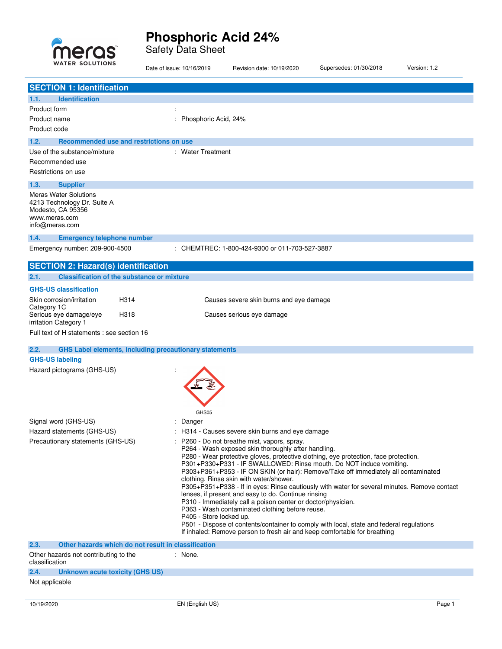

Safety Data Sheet

| <b>WATER SOLUTIONS</b>                                                                                              | Date of issue: 10/16/2019                                     | Revision date: 10/19/2020                                                                                                                                                                                                                                                                                                                                                                                                                                                                                                                                                                                                                                                                                                                                                                                                                               | Supersedes: 01/30/2018 | Version: 1.2 |
|---------------------------------------------------------------------------------------------------------------------|---------------------------------------------------------------|---------------------------------------------------------------------------------------------------------------------------------------------------------------------------------------------------------------------------------------------------------------------------------------------------------------------------------------------------------------------------------------------------------------------------------------------------------------------------------------------------------------------------------------------------------------------------------------------------------------------------------------------------------------------------------------------------------------------------------------------------------------------------------------------------------------------------------------------------------|------------------------|--------------|
| <b>SECTION 1: Identification</b>                                                                                    |                                                               |                                                                                                                                                                                                                                                                                                                                                                                                                                                                                                                                                                                                                                                                                                                                                                                                                                                         |                        |              |
| 1.1.<br><b>Identification</b>                                                                                       |                                                               |                                                                                                                                                                                                                                                                                                                                                                                                                                                                                                                                                                                                                                                                                                                                                                                                                                                         |                        |              |
| Product form                                                                                                        |                                                               |                                                                                                                                                                                                                                                                                                                                                                                                                                                                                                                                                                                                                                                                                                                                                                                                                                                         |                        |              |
| Product name                                                                                                        | Phosphoric Acid, 24%                                          |                                                                                                                                                                                                                                                                                                                                                                                                                                                                                                                                                                                                                                                                                                                                                                                                                                                         |                        |              |
| Product code                                                                                                        |                                                               |                                                                                                                                                                                                                                                                                                                                                                                                                                                                                                                                                                                                                                                                                                                                                                                                                                                         |                        |              |
|                                                                                                                     |                                                               |                                                                                                                                                                                                                                                                                                                                                                                                                                                                                                                                                                                                                                                                                                                                                                                                                                                         |                        |              |
| 1.2.<br>Recommended use and restrictions on use                                                                     |                                                               |                                                                                                                                                                                                                                                                                                                                                                                                                                                                                                                                                                                                                                                                                                                                                                                                                                                         |                        |              |
| Use of the substance/mixture                                                                                        | : Water Treatment                                             |                                                                                                                                                                                                                                                                                                                                                                                                                                                                                                                                                                                                                                                                                                                                                                                                                                                         |                        |              |
| Recommended use                                                                                                     |                                                               |                                                                                                                                                                                                                                                                                                                                                                                                                                                                                                                                                                                                                                                                                                                                                                                                                                                         |                        |              |
| Restrictions on use                                                                                                 |                                                               |                                                                                                                                                                                                                                                                                                                                                                                                                                                                                                                                                                                                                                                                                                                                                                                                                                                         |                        |              |
| 1.3.<br><b>Supplier</b>                                                                                             |                                                               |                                                                                                                                                                                                                                                                                                                                                                                                                                                                                                                                                                                                                                                                                                                                                                                                                                                         |                        |              |
| <b>Meras Water Solutions</b><br>4213 Technology Dr. Suite A<br>Modesto, CA 95356<br>www.meras.com<br>info@meras.com |                                                               |                                                                                                                                                                                                                                                                                                                                                                                                                                                                                                                                                                                                                                                                                                                                                                                                                                                         |                        |              |
|                                                                                                                     |                                                               |                                                                                                                                                                                                                                                                                                                                                                                                                                                                                                                                                                                                                                                                                                                                                                                                                                                         |                        |              |
| 1.4.<br><b>Emergency telephone number</b>                                                                           |                                                               |                                                                                                                                                                                                                                                                                                                                                                                                                                                                                                                                                                                                                                                                                                                                                                                                                                                         |                        |              |
| Emergency number: 209-900-4500                                                                                      |                                                               | : CHEMTREC: 1-800-424-9300 or 011-703-527-3887                                                                                                                                                                                                                                                                                                                                                                                                                                                                                                                                                                                                                                                                                                                                                                                                          |                        |              |
| <b>SECTION 2: Hazard(s) identification</b>                                                                          |                                                               |                                                                                                                                                                                                                                                                                                                                                                                                                                                                                                                                                                                                                                                                                                                                                                                                                                                         |                        |              |
| <b>Classification of the substance or mixture</b><br>2.1.                                                           |                                                               |                                                                                                                                                                                                                                                                                                                                                                                                                                                                                                                                                                                                                                                                                                                                                                                                                                                         |                        |              |
| <b>GHS-US classification</b>                                                                                        |                                                               |                                                                                                                                                                                                                                                                                                                                                                                                                                                                                                                                                                                                                                                                                                                                                                                                                                                         |                        |              |
| Skin corrosion/irritation<br>H314<br>Category 1C                                                                    |                                                               | Causes severe skin burns and eye damage                                                                                                                                                                                                                                                                                                                                                                                                                                                                                                                                                                                                                                                                                                                                                                                                                 |                        |              |
| Serious eye damage/eye<br>H318<br>irritation Category 1                                                             |                                                               | Causes serious eye damage                                                                                                                                                                                                                                                                                                                                                                                                                                                                                                                                                                                                                                                                                                                                                                                                                               |                        |              |
| Full text of H statements : see section 16                                                                          |                                                               |                                                                                                                                                                                                                                                                                                                                                                                                                                                                                                                                                                                                                                                                                                                                                                                                                                                         |                        |              |
| 2.2.                                                                                                                | <b>GHS Label elements, including precautionary statements</b> |                                                                                                                                                                                                                                                                                                                                                                                                                                                                                                                                                                                                                                                                                                                                                                                                                                                         |                        |              |
| <b>GHS-US labeling</b>                                                                                              |                                                               |                                                                                                                                                                                                                                                                                                                                                                                                                                                                                                                                                                                                                                                                                                                                                                                                                                                         |                        |              |
| Hazard pictograms (GHS-US)                                                                                          | GHS05                                                         |                                                                                                                                                                                                                                                                                                                                                                                                                                                                                                                                                                                                                                                                                                                                                                                                                                                         |                        |              |
| Signal word (GHS-US)                                                                                                | : Danger                                                      |                                                                                                                                                                                                                                                                                                                                                                                                                                                                                                                                                                                                                                                                                                                                                                                                                                                         |                        |              |
| Hazard statements (GHS-US)                                                                                          |                                                               | : H314 - Causes severe skin burns and eye damage                                                                                                                                                                                                                                                                                                                                                                                                                                                                                                                                                                                                                                                                                                                                                                                                        |                        |              |
| Precautionary statements (GHS-US)                                                                                   | P405 - Store locked up.                                       | : P260 - Do not breathe mist, vapors, spray.<br>P264 - Wash exposed skin thoroughly after handling.<br>P280 - Wear protective gloves, protective clothing, eye protection, face protection.<br>P301+P330+P331 - IF SWALLOWED: Rinse mouth. Do NOT induce vomiting.<br>P303+P361+P353 - IF ON SKIN (or hair): Remove/Take off immediately all contaminated<br>clothing. Rinse skin with water/shower.<br>P305+P351+P338 - If in eyes: Rinse cautiously with water for several minutes. Remove contact<br>lenses, if present and easy to do. Continue rinsing<br>P310 - Immediately call a poison center or doctor/physician.<br>P363 - Wash contaminated clothing before reuse.<br>P501 - Dispose of contents/container to comply with local, state and federal regulations<br>If inhaled: Remove person to fresh air and keep comfortable for breathing |                        |              |
| 2.3.<br>Other hazards which do not result in classification                                                         |                                                               |                                                                                                                                                                                                                                                                                                                                                                                                                                                                                                                                                                                                                                                                                                                                                                                                                                                         |                        |              |
| Other hazards not contributing to the<br>classification                                                             | : None.                                                       |                                                                                                                                                                                                                                                                                                                                                                                                                                                                                                                                                                                                                                                                                                                                                                                                                                                         |                        |              |
| 2.4.<br><b>Unknown acute toxicity (GHS US)</b>                                                                      |                                                               |                                                                                                                                                                                                                                                                                                                                                                                                                                                                                                                                                                                                                                                                                                                                                                                                                                                         |                        |              |

Not applicable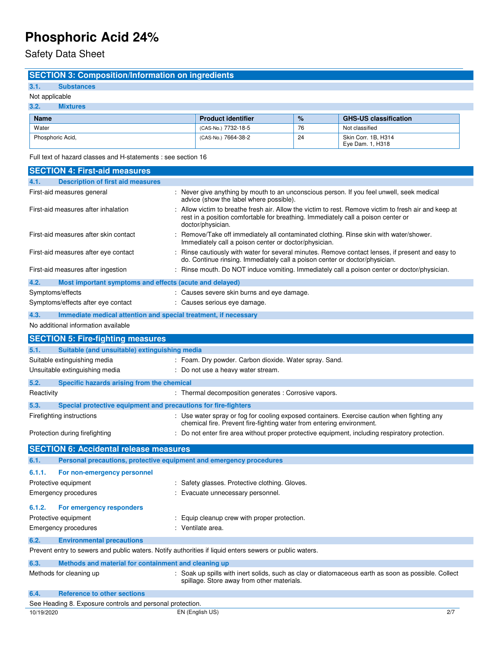Safety Data Sheet

### **SECTION 3: Composition/Information on ingredients**

## **3.1. Substances**

### Not applicable **3.2. Mixtures**

| <b>Name</b>      | <b>Product identifier</b> | $\%$ | <b>GHS-US classification</b>            |
|------------------|---------------------------|------|-----------------------------------------|
| Water            | (CAS-No.) 7732-18-5       | 76   | Not classified                          |
| Phosphoric Acid, | (CAS-No.) 7664-38-2       | 24   | Skin Corr. 1B, H314<br>Eye Dam. 1, H318 |

Full text of hazard classes and H-statements : see section 16

| <b>SECTION 4: First-aid measures</b>                                                                    |                                                                                                                                                                                                               |
|---------------------------------------------------------------------------------------------------------|---------------------------------------------------------------------------------------------------------------------------------------------------------------------------------------------------------------|
| <b>Description of first aid measures</b><br>4.1.                                                        |                                                                                                                                                                                                               |
| First-aid measures general                                                                              | : Never give anything by mouth to an unconscious person. If you feel unwell, seek medical<br>advice (show the label where possible).                                                                          |
| First-aid measures after inhalation                                                                     | Allow victim to breathe fresh air. Allow the victim to rest. Remove victim to fresh air and keep at<br>rest in a position comfortable for breathing. Immediately call a poison center or<br>doctor/physician. |
| First-aid measures after skin contact                                                                   | Remove/Take off immediately all contaminated clothing. Rinse skin with water/shower.<br>Immediately call a poison center or doctor/physician.                                                                 |
| First-aid measures after eye contact                                                                    | Rinse cautiously with water for several minutes. Remove contact lenses, if present and easy to<br>do. Continue rinsing. Immediately call a poison center or doctor/physician.                                 |
| First-aid measures after ingestion                                                                      | : Rinse mouth. Do NOT induce vomiting. Immediately call a poison center or doctor/physician.                                                                                                                  |
| 4.2.<br>Most important symptoms and effects (acute and delayed)                                         |                                                                                                                                                                                                               |
| Symptoms/effects                                                                                        | : Causes severe skin burns and eye damage.                                                                                                                                                                    |
| Symptoms/effects after eye contact                                                                      | : Causes serious eye damage.                                                                                                                                                                                  |
| 4.3.<br>Immediate medical attention and special treatment, if necessary                                 |                                                                                                                                                                                                               |
| No additional information available                                                                     |                                                                                                                                                                                                               |
| <b>SECTION 5: Fire-fighting measures</b>                                                                |                                                                                                                                                                                                               |
| Suitable (and unsuitable) extinguishing media<br>5.1.                                                   |                                                                                                                                                                                                               |
| Suitable extinguishing media                                                                            | : Foam. Dry powder. Carbon dioxide. Water spray. Sand.                                                                                                                                                        |
| Unsuitable extinguishing media                                                                          | : Do not use a heavy water stream.                                                                                                                                                                            |
| 5.2.<br>Specific hazards arising from the chemical                                                      |                                                                                                                                                                                                               |
| Reactivity                                                                                              | : Thermal decomposition generates : Corrosive vapors.                                                                                                                                                         |
| 5.3.<br>Special protective equipment and precautions for fire-fighters                                  |                                                                                                                                                                                                               |
| Firefighting instructions                                                                               | : Use water spray or fog for cooling exposed containers. Exercise caution when fighting any<br>chemical fire. Prevent fire-fighting water from entering environment.                                          |
| Protection during firefighting                                                                          | : Do not enter fire area without proper protective equipment, including respiratory protection.                                                                                                               |
| <b>SECTION 6: Accidental release measures</b>                                                           |                                                                                                                                                                                                               |
| 6.1.<br>Personal precautions, protective equipment and emergency procedures                             |                                                                                                                                                                                                               |
| 6.1.1.<br>For non-emergency personnel                                                                   |                                                                                                                                                                                                               |
| Protective equipment                                                                                    |                                                                                                                                                                                                               |
|                                                                                                         | : Safety glasses. Protective clothing. Gloves.<br>: Evacuate unnecessary personnel.                                                                                                                           |
| <b>Emergency procedures</b>                                                                             |                                                                                                                                                                                                               |
| 6.1.2.<br>For emergency responders                                                                      |                                                                                                                                                                                                               |
| Protective equipment                                                                                    | : Equip cleanup crew with proper protection.                                                                                                                                                                  |
| <b>Emergency procedures</b>                                                                             | : Ventilate area.                                                                                                                                                                                             |
| 6.2.<br><b>Environmental precautions</b>                                                                |                                                                                                                                                                                                               |
| Prevent entry to sewers and public waters. Notify authorities if liquid enters sewers or public waters. |                                                                                                                                                                                                               |
| 6.3.<br>Methods and material for containment and cleaning up                                            |                                                                                                                                                                                                               |
| Methods for cleaning up                                                                                 | : Soak up spills with inert solids, such as clay or diatomaceous earth as soon as possible. Collect<br>spillage. Store away from other materials.                                                             |
| <b>Reference to other sections</b><br>6.4.                                                              |                                                                                                                                                                                                               |
| See Heading 8. Exposure controls and personal protection.                                               |                                                                                                                                                                                                               |
| 10/19/2020                                                                                              | EN (English US)<br>2/7                                                                                                                                                                                        |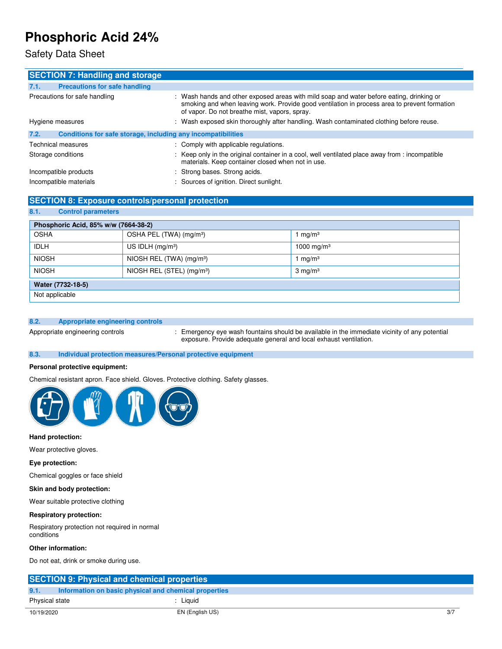### Safety Data Sheet

| <b>SECTION 7: Handling and storage</b>                               |                                                                                                                                                                                                                                           |
|----------------------------------------------------------------------|-------------------------------------------------------------------------------------------------------------------------------------------------------------------------------------------------------------------------------------------|
| <b>Precautions for safe handling</b><br>7.1.                         |                                                                                                                                                                                                                                           |
| Precautions for safe handling                                        | : Wash hands and other exposed areas with mild soap and water before eating, drinking or<br>smoking and when leaving work. Provide good ventilation in process area to prevent formation<br>of vapor. Do not breathe mist, vapors, spray. |
| Hygiene measures                                                     | : Wash exposed skin thoroughly after handling. Wash contaminated clothing before reuse.                                                                                                                                                   |
| Conditions for safe storage, including any incompatibilities<br>7.2. |                                                                                                                                                                                                                                           |
| Technical measures                                                   | : Comply with applicable regulations.                                                                                                                                                                                                     |
| Storage conditions                                                   | : Keep only in the original container in a cool, well ventilated place away from : incompatible<br>materials. Keep container closed when not in use.                                                                                      |
| Incompatible products                                                | : Strong bases. Strong acids.                                                                                                                                                                                                             |
| Incompatible materials                                               | : Sources of ignition. Direct sunlight.                                                                                                                                                                                                   |

### **SECTION 8: Exposure controls/personal protection**

| Phosphoric Acid, 85% w/w (7664-38-2)                                        |                                      |            |  |  |
|-----------------------------------------------------------------------------|--------------------------------------|------------|--|--|
| <b>OSHA</b>                                                                 | OSHA PEL (TWA) (mg/m <sup>3</sup> )  | $\log/m^3$ |  |  |
| <b>IDLH</b><br>US IDLH $(mg/m3)$<br>1000 mg/m <sup>3</sup>                  |                                      |            |  |  |
| <b>NIOSH</b>                                                                | NIOSH REL (TWA) (mg/m <sup>3</sup> ) | 1 mg/m $3$ |  |  |
| <b>NIOSH</b><br>NIOSH REL (STEL) (mg/m <sup>3</sup> )<br>$3 \text{ mg/m}^3$ |                                      |            |  |  |
| Water (7732-18-5)                                                           |                                      |            |  |  |
| Not applicable                                                              |                                      |            |  |  |

### **8.2. Appropriate engineering controls**

**8.1. Control parameters** 

Appropriate engineering controls : Emergency eye wash fountains should be available in the immediate vicinity of any potential exposure. Provide adequate general and local exhaust ventilation.

### **8.3. Individual protection measures/Personal protective equipment**

### **Personal protective equipment:**

Chemical resistant apron. Face shield. Gloves. Protective clothing. Safety glasses.



### **Hand protection:**

Wear protective gloves.

### **Eye protection:**

Chemical goggles or face shield

### **Skin and body protection:**

Wear suitable protective clothing

### **Respiratory protection:**

Respiratory protection not required in normal conditions

### **Other information:**

Do not eat, drink or smoke during use.

| <b>SECTION 9: Physical and chemical properties</b>            |                 |     |
|---------------------------------------------------------------|-----------------|-----|
| Information on basic physical and chemical properties<br>9.1. |                 |     |
| Physical state                                                | Liauid          |     |
| 10/19/2020                                                    | EN (English US) | 3/7 |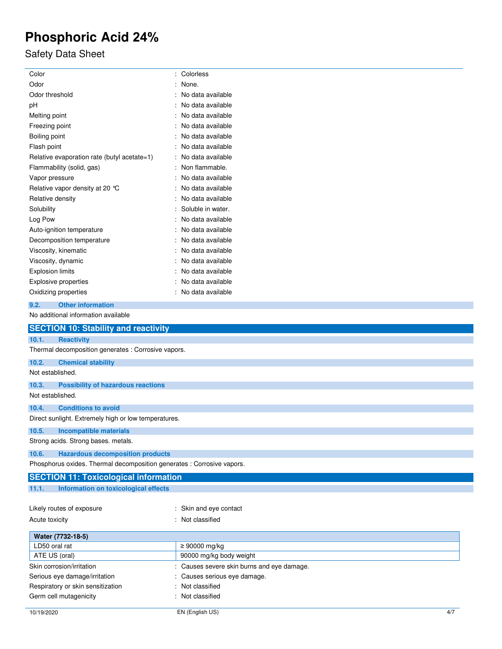# Safety Data Sheet

| Color                                                                   | : Colorless             |  |
|-------------------------------------------------------------------------|-------------------------|--|
| Odor                                                                    | None.                   |  |
| Odor threshold<br>No data available                                     |                         |  |
| No data available<br>pH                                                 |                         |  |
| : No data available<br>Melting point                                    |                         |  |
| Freezing point                                                          | : No data available     |  |
| Boiling point<br>No data available                                      |                         |  |
| Flash point                                                             | No data available       |  |
| Relative evaporation rate (butyl acetate=1)                             | No data available       |  |
| Flammability (solid, gas)                                               | : Non flammable.        |  |
| Vapor pressure                                                          | No data available       |  |
| Relative vapor density at 20 °C                                         | No data available       |  |
| Relative density                                                        | No data available       |  |
| Solubility                                                              | Soluble in water.       |  |
| Log Pow                                                                 | : No data available     |  |
| Auto-ignition temperature                                               | No data available       |  |
| Decomposition temperature                                               | No data available       |  |
| Viscosity, kinematic                                                    | No data available       |  |
| Viscosity, dynamic                                                      | No data available       |  |
| <b>Explosion limits</b>                                                 | : No data available     |  |
| Explosive properties                                                    | : No data available     |  |
| : No data available<br>Oxidizing properties                             |                         |  |
|                                                                         |                         |  |
| 9.2.<br><b>Other information</b><br>No additional information available |                         |  |
|                                                                         |                         |  |
| <b>SECTION 10: Stability and reactivity</b>                             |                         |  |
| 10.1.<br><b>Reactivity</b>                                              |                         |  |
| Thermal decomposition generates : Corrosive vapors.                     |                         |  |
| 10.2.<br><b>Chemical stability</b>                                      |                         |  |
| Not established.                                                        |                         |  |
| 10.3.<br><b>Possibility of hazardous reactions</b>                      |                         |  |
| Not established.                                                        |                         |  |
| 10.4.<br><b>Conditions to avoid</b>                                     |                         |  |
|                                                                         |                         |  |
| Direct sunlight. Extremely high or low temperatures.                    |                         |  |
| 10.5.<br><b>Incompatible materials</b>                                  |                         |  |
| Strong acids. Strong bases. metals.                                     |                         |  |
| 10.6.<br><b>Hazardous decomposition products</b>                        |                         |  |
| Phosphorus oxides. Thermal decomposition generates : Corrosive vapors.  |                         |  |
| <b>SECTION 11: Toxicological information</b>                            |                         |  |
| Information on toxicological effects<br>11.1.                           |                         |  |
|                                                                         |                         |  |
| Likely routes of exposure                                               | : Skin and eye contact  |  |
| Acute toxicity                                                          | : Not classified        |  |
|                                                                         |                         |  |
| Water (7732-18-5)                                                       |                         |  |
| LD50 oral rat                                                           | ≥ 90000 mg/kg           |  |
| ATE US (oral)                                                           | 90000 mg/kg body weight |  |
| Skin corrosion/irritation<br>Causes severe skin burns and eye damage.   |                         |  |
| Serious eye damage/irritation<br>Causes serious eye damage.             |                         |  |
| Respiratory or skin sensitization<br>Not classified                     |                         |  |
| Germ cell mutagenicity<br>Not classified                                |                         |  |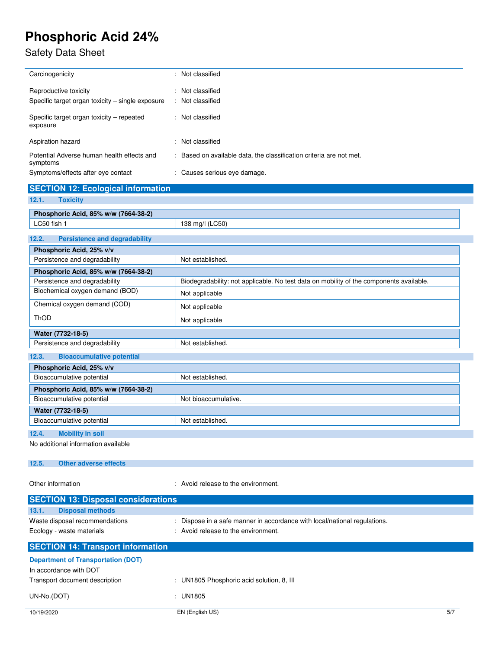## Safety Data Sheet

| Carcinogenicity                                                           | : Not classified                                                    |
|---------------------------------------------------------------------------|---------------------------------------------------------------------|
| Reproductive toxicity<br>Specific target organ toxicity – single exposure | : Not classified<br>: Not classified                                |
| Specific target organ toxicity – repeated<br>exposure                     | : Not classified                                                    |
| Aspiration hazard                                                         | : Not classified                                                    |
| Potential Adverse human health effects and<br>symptoms                    | : Based on available data, the classification criteria are not met. |
| Symptoms/effects after eye contact                                        | : Causes serious eye damage.                                        |

# **SECTION 12: Ecological information**

| 12.1.<br><b>Toxicity</b>                      |                                                                                         |
|-----------------------------------------------|-----------------------------------------------------------------------------------------|
| Phosphoric Acid, 85% w/w (7664-38-2)          |                                                                                         |
| LC50 fish 1                                   | 138 mg/l (LC50)                                                                         |
|                                               |                                                                                         |
| <b>Persistence and degradability</b><br>12.2. |                                                                                         |
| Phosphoric Acid, 25% v/v                      |                                                                                         |
| Persistence and degradability                 | Not established.                                                                        |
| Phosphoric Acid, 85% w/w (7664-38-2)          |                                                                                         |
| Persistence and degradability                 | Biodegradability: not applicable. No test data on mobility of the components available. |
| Biochemical oxygen demand (BOD)               | Not applicable                                                                          |
| Chemical oxygen demand (COD)                  | Not applicable                                                                          |
| <b>ThOD</b>                                   | Not applicable                                                                          |
| Water (7732-18-5)                             |                                                                                         |
| Persistence and degradability                 | Not established.                                                                        |
| 12.3.<br><b>Bioaccumulative potential</b>     |                                                                                         |
| Phosphoric Acid, 25% v/v                      |                                                                                         |
| Bioaccumulative potential                     | Not established.                                                                        |
| Phosphoric Acid, 85% w/w (7664-38-2)          |                                                                                         |
| Bioaccumulative potential                     | Not bioaccumulative.                                                                    |
| Water (7732-18-5)                             |                                                                                         |
| Bioaccumulative potential                     | Not established.                                                                        |
| <b>Mobility in soil</b><br>12.4.              |                                                                                         |
| No additional information available           |                                                                                         |

### **12.5. Other adverse effects**

Other information  $\cdot$  Avoid release to the environment.

| <b>SECTION 13: Disposal considerations</b> |                                                                           |     |
|--------------------------------------------|---------------------------------------------------------------------------|-----|
| <b>Disposal methods</b><br>13.1.           |                                                                           |     |
| Waste disposal recommendations             | : Dispose in a safe manner in accordance with local/national regulations. |     |
| Ecology - waste materials                  | : Avoid release to the environment.                                       |     |
| <b>SECTION 14: Transport information</b>   |                                                                           |     |
| <b>Department of Transportation (DOT)</b>  |                                                                           |     |
| In accordance with DOT                     |                                                                           |     |
| Transport document description             | : UN1805 Phosphoric acid solution, 8, III                                 |     |
| UN-No.(DOT)                                | $:$ UN1805                                                                |     |
| 10/19/2020                                 | EN (English US)                                                           | 5/7 |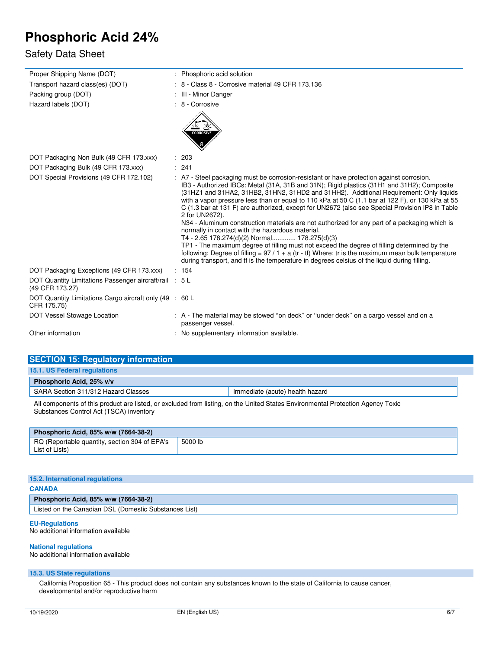### Safety Data Sheet

| Proper Shipping Name (DOT)                                                | : Phosphoric acid solution                                                                                                                                                                                                                                                                                                                                                                                                                                                                                                                                                                                                                                                                                                                                                                                                                                                                                                                                                                                          |
|---------------------------------------------------------------------------|---------------------------------------------------------------------------------------------------------------------------------------------------------------------------------------------------------------------------------------------------------------------------------------------------------------------------------------------------------------------------------------------------------------------------------------------------------------------------------------------------------------------------------------------------------------------------------------------------------------------------------------------------------------------------------------------------------------------------------------------------------------------------------------------------------------------------------------------------------------------------------------------------------------------------------------------------------------------------------------------------------------------|
| Transport hazard class(es) (DOT)                                          | : 8 - Class 8 - Corrosive material 49 CFR 173.136                                                                                                                                                                                                                                                                                                                                                                                                                                                                                                                                                                                                                                                                                                                                                                                                                                                                                                                                                                   |
| Packing group (DOT)                                                       | : III - Minor Danger                                                                                                                                                                                                                                                                                                                                                                                                                                                                                                                                                                                                                                                                                                                                                                                                                                                                                                                                                                                                |
| Hazard labels (DOT)                                                       | : 8 - Corrosive                                                                                                                                                                                                                                                                                                                                                                                                                                                                                                                                                                                                                                                                                                                                                                                                                                                                                                                                                                                                     |
|                                                                           | <b>CORROSIVE</b>                                                                                                                                                                                                                                                                                                                                                                                                                                                                                                                                                                                                                                                                                                                                                                                                                                                                                                                                                                                                    |
| DOT Packaging Non Bulk (49 CFR 173.xxx)                                   | : 203                                                                                                                                                                                                                                                                                                                                                                                                                                                                                                                                                                                                                                                                                                                                                                                                                                                                                                                                                                                                               |
| DOT Packaging Bulk (49 CFR 173.xxx)                                       | : 241                                                                                                                                                                                                                                                                                                                                                                                                                                                                                                                                                                                                                                                                                                                                                                                                                                                                                                                                                                                                               |
| DOT Special Provisions (49 CFR 172.102)                                   | : A7 - Steel packaging must be corrosion-resistant or have protection against corrosion.<br>IB3 - Authorized IBCs: Metal (31A, 31B and 31N); Rigid plastics (31H1 and 31H2); Composite<br>(31HZ1 and 31HA2, 31HB2, 31HN2, 31HD2 and 31HH2). Additional Requirement: Only liquids<br>with a vapor pressure less than or equal to 110 kPa at 50 C (1.1 bar at 122 F), or 130 kPa at 55<br>C (1.3 bar at 131 F) are authorized, except for UN2672 (also see Special Provision IP8 in Table<br>2 for UN2672).<br>N34 - Aluminum construction materials are not authorized for any part of a packaging which is<br>normally in contact with the hazardous material.<br>T4 - 2.65 178.274(d)(2) Normal 178.275(d)(3)<br>TP1 - The maximum degree of filling must not exceed the degree of filling determined by the<br>following: Degree of filling = $97/1 + a$ (tr - tf) Where: tr is the maximum mean bulk temperature<br>during transport, and tf is the temperature in degrees celsius of the liquid during filling. |
| DOT Packaging Exceptions (49 CFR 173.xxx)                                 | : 154                                                                                                                                                                                                                                                                                                                                                                                                                                                                                                                                                                                                                                                                                                                                                                                                                                                                                                                                                                                                               |
| DOT Quantity Limitations Passenger aircraft/rail : 5 L<br>(49 CFR 173.27) |                                                                                                                                                                                                                                                                                                                                                                                                                                                                                                                                                                                                                                                                                                                                                                                                                                                                                                                                                                                                                     |
| DOT Quantity Limitations Cargo aircraft only (49 : 60 L<br>CFR 175.75)    |                                                                                                                                                                                                                                                                                                                                                                                                                                                                                                                                                                                                                                                                                                                                                                                                                                                                                                                                                                                                                     |
| DOT Vessel Stowage Location                                               | : A - The material may be stowed "on deck" or "under deck" on a cargo vessel and on a<br>passenger vessel.                                                                                                                                                                                                                                                                                                                                                                                                                                                                                                                                                                                                                                                                                                                                                                                                                                                                                                          |
| Other information                                                         | : No supplementary information available.                                                                                                                                                                                                                                                                                                                                                                                                                                                                                                                                                                                                                                                                                                                                                                                                                                                                                                                                                                           |

| <b>SECTION 15: Regulatory information</b> |                                 |  |
|-------------------------------------------|---------------------------------|--|
| 15.1. US Federal regulations              |                                 |  |
| Phosphoric Acid, 25% v/v                  |                                 |  |
| SARA Section 311/312 Hazard Classes       | Immediate (acute) health hazard |  |

All components of this product are listed, or excluded from listing, on the United States Environmental Protection Agency Toxic Substances Control Act (TSCA) inventory

| Phosphoric Acid, 85% w/w (7664-38-2)                            |         |
|-----------------------------------------------------------------|---------|
| RQ (Reportable quantity, section 304 of EPA's<br>List of Lists) | 5000 lb |

| 15.2. International regulations                       |  |  |
|-------------------------------------------------------|--|--|
| <b>CANADA</b>                                         |  |  |
| Phosphoric Acid, 85% w/w (7664-38-2)                  |  |  |
| Listed on the Canadian DSL (Domestic Substances List) |  |  |
|                                                       |  |  |

### **EU-Regulations**

No additional information available

### **National regulations**

No additional information available

### **15.3. US State regulations**

California Proposition 65 - This product does not contain any substances known to the state of California to cause cancer, developmental and/or reproductive harm